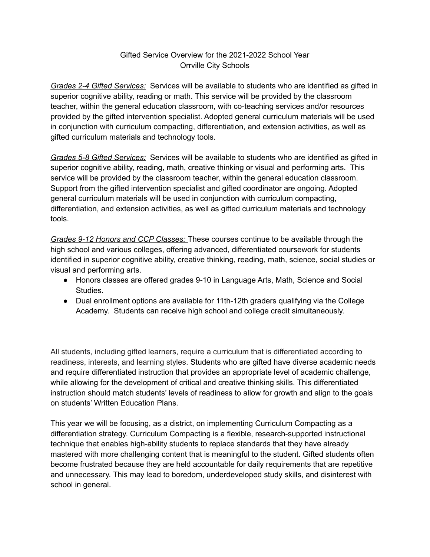## Gifted Service Overview for the 2021-2022 School Year Orrville City Schools

*Grades 2-4 Gifted Services:* Services will be available to students who are identified as gifted in superior cognitive ability, reading or math. This service will be provided by the classroom teacher, within the general education classroom, with co-teaching services and/or resources provided by the gifted intervention specialist. Adopted general curriculum materials will be used in conjunction with curriculum compacting, differentiation, and extension activities, as well as gifted curriculum materials and technology tools.

*Grades 5-8 Gifted Services:* Services will be available to students who are identified as gifted in superior cognitive ability, reading, math, creative thinking or visual and performing arts. This service will be provided by the classroom teacher, within the general education classroom. Support from the gifted intervention specialist and gifted coordinator are ongoing. Adopted general curriculum materials will be used in conjunction with curriculum compacting, differentiation, and extension activities, as well as gifted curriculum materials and technology tools.

*Grades 9-12 Honors and CCP Classes:* These courses continue to be available through the high school and various colleges, offering advanced, differentiated coursework for students identified in superior cognitive ability, creative thinking, reading, math, science, social studies or visual and performing arts.

- Honors classes are offered grades 9-10 in Language Arts, Math, Science and Social Studies.
- Dual enrollment options are available for 11th-12th graders qualifying via the College Academy. Students can receive high school and college credit simultaneously.

All students, including gifted learners, require a curriculum that is differentiated according to readiness, interests, and learning styles. Students who are gifted have diverse academic needs and require differentiated instruction that provides an appropriate level of academic challenge, while allowing for the development of critical and creative thinking skills. This differentiated instruction should match students' levels of readiness to allow for growth and align to the goals on students' Written Education Plans.

This year we will be focusing, as a district, on implementing Curriculum Compacting as a differentiation strategy. Curriculum Compacting is a flexible, research-supported instructional technique that enables high-ability students to replace standards that they have already mastered with more challenging content that is meaningful to the student. Gifted students often become frustrated because they are held accountable for daily requirements that are repetitive and unnecessary. This may lead to boredom, underdeveloped study skills, and disinterest with school in general.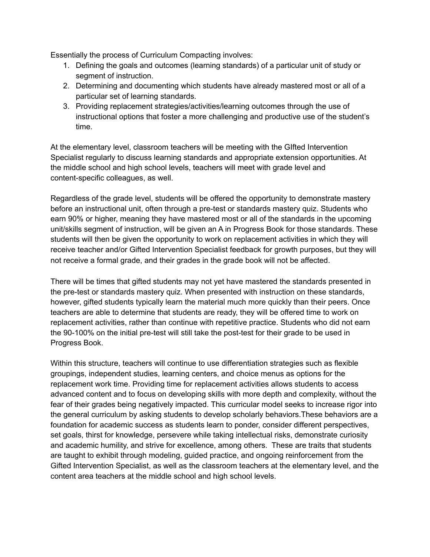Essentially the process of Curriculum Compacting involves:

- 1. Defining the goals and outcomes (learning standards) of a particular unit of study or segment of instruction.
- 2. Determining and documenting which students have already mastered most or all of a particular set of learning standards.
- 3. Providing replacement strategies/activities/learning outcomes through the use of instructional options that foster a more challenging and productive use of the student's time.

At the elementary level, classroom teachers will be meeting with the GIfted Intervention Specialist regularly to discuss learning standards and appropriate extension opportunities. At the middle school and high school levels, teachers will meet with grade level and content-specific colleagues, as well.

Regardless of the grade level, students will be offered the opportunity to demonstrate mastery before an instructional unit, often through a pre-test or standards mastery quiz. Students who earn 90% or higher, meaning they have mastered most or all of the standards in the upcoming unit/skills segment of instruction, will be given an A in Progress Book for those standards. These students will then be given the opportunity to work on replacement activities in which they will receive teacher and/or Gifted Intervention Specialist feedback for growth purposes, but they will not receive a formal grade, and their grades in the grade book will not be affected.

There will be times that gifted students may not yet have mastered the standards presented in the pre-test or standards mastery quiz. When presented with instruction on these standards, however, gifted students typically learn the material much more quickly than their peers. Once teachers are able to determine that students are ready, they will be offered time to work on replacement activities, rather than continue with repetitive practice. Students who did not earn the 90-100% on the initial pre-test will still take the post-test for their grade to be used in Progress Book.

Within this structure, teachers will continue to use differentiation strategies such as flexible groupings, independent studies, learning centers, and choice menus as options for the replacement work time. Providing time for replacement activities allows students to access advanced content and to focus on developing skills with more depth and complexity, without the fear of their grades being negatively impacted. This curricular model seeks to increase rigor into the general curriculum by asking students to develop scholarly behaviors.These behaviors are a foundation for academic success as students learn to ponder, consider different perspectives, set goals, thirst for knowledge, persevere while taking intellectual risks, demonstrate curiosity and academic humility, and strive for excellence, among others. These are traits that students are taught to exhibit through modeling, guided practice, and ongoing reinforcement from the Gifted Intervention Specialist, as well as the classroom teachers at the elementary level, and the content area teachers at the middle school and high school levels.